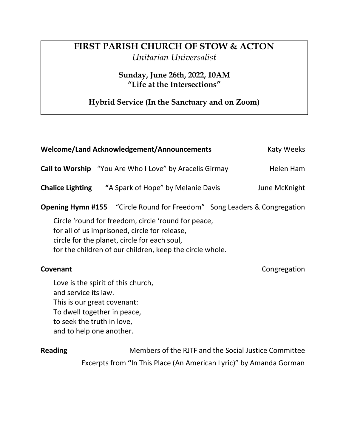## **FIRST PARISH CHURCH OF STOW & ACTON** *Unitarian Universalist*

**Sunday, June 26th, 2022, 10AM "Life at the Intersections"**

**Hybrid Service (In the Sanctuary and on Zoom)**

| <b>Welcome/Land Acknowledgement/Announcements</b>                                                                                                                                                                | Katy Weeks |                                                                                 |  |
|------------------------------------------------------------------------------------------------------------------------------------------------------------------------------------------------------------------|------------|---------------------------------------------------------------------------------|--|
| <b>Call to Worship</b> "You Are Who I Love" by Aracelis Girmay                                                                                                                                                   |            | Helen Ham                                                                       |  |
| <b>Chalice Lighting "</b> A Spark of Hope" by Melanie Davis                                                                                                                                                      |            | June McKnight                                                                   |  |
|                                                                                                                                                                                                                  |            | <b>Opening Hymn #155</b> "Circle Round for Freedom" Song Leaders & Congregation |  |
| Circle 'round for freedom, circle 'round for peace,<br>for all of us imprisoned, circle for release,<br>circle for the planet, circle for each soul,<br>for the children of our children, keep the circle whole. |            |                                                                                 |  |
| Covenant                                                                                                                                                                                                         |            | Congregation                                                                    |  |
| Love is the spirit of this church,<br>and service its law.<br>This is our great covenant:<br>To dwell together in peace,<br>to seek the truth in love,<br>and to help one another.                               |            |                                                                                 |  |
| <b>Reading</b>                                                                                                                                                                                                   |            | Members of the RJTF and the Social Justice Committee                            |  |

Excerpts from **"**In This Place (An American Lyric)" by Amanda Gorman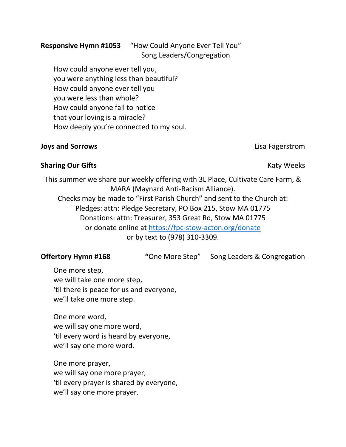# **Responsive Hymn #1053** "How Could Anyone Ever Tell You"

How could anyone ever tell you, you were anything less than beautiful? How could anyone ever tell you you were less than whole? How could anyone fail to notice that your loving is a miracle? How deeply you're connected to my soul.

### **Joys and Sorrows** Lisa Fagerstrom

**Sharing Our Gifts** Katy Weeks **Katy Weeks** 

This summer we share our weekly offering with 3L Place, Cultivate Care Farm, & MARA (Maynard Anti-Racism Alliance). Checks may be made to "First Parish Church" and sent to the Church at: Pledges: attn: Pledge Secretary, PO Box 215, Stow MA 01775 Donations: attn: Treasurer, 353 Great Rd, Stow MA 01775 or donate online at<https://fpc-stow-acton.org/donate> or by text to (978) 310-3309.

**Offertory Hymn #168 "**One More Step" Song Leaders & Congregation

One more step, we will take one more step, 'til there is peace for us and everyone, we'll take one more step.

One more word, we will say one more word, 'til every word is heard by everyone, we'll say one more word.

One more prayer, we will say one more prayer, 'til every prayer is shared by everyone, we'll say one more prayer.

# Song Leaders/Congregation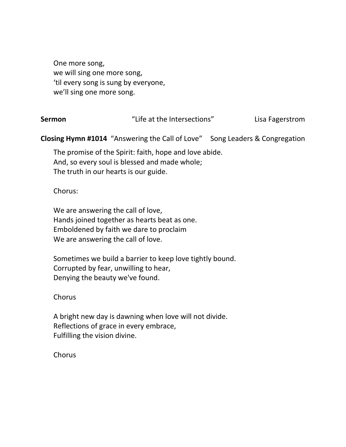One more song, we will sing one more song, 'til every song is sung by everyone, we'll sing one more song.

| Sermon | "Life at the Intersections" | Lisa Fagerstrom |
|--------|-----------------------------|-----------------|
|--------|-----------------------------|-----------------|

**Closing Hymn #1014** "Answering the Call of Love" Song Leaders & Congregation

The promise of the Spirit: faith, hope and love abide. And, so every soul is blessed and made whole; The truth in our hearts is our guide.

### Chorus:

We are answering the call of love, Hands joined together as hearts beat as one. Emboldened by faith we dare to proclaim We are answering the call of love.

Sometimes we build a barrier to keep love tightly bound. Corrupted by fear, unwilling to hear, Denying the beauty we've found.

### Chorus

A bright new day is dawning when love will not divide. Reflections of grace in every embrace, Fulfilling the vision divine.

Chorus